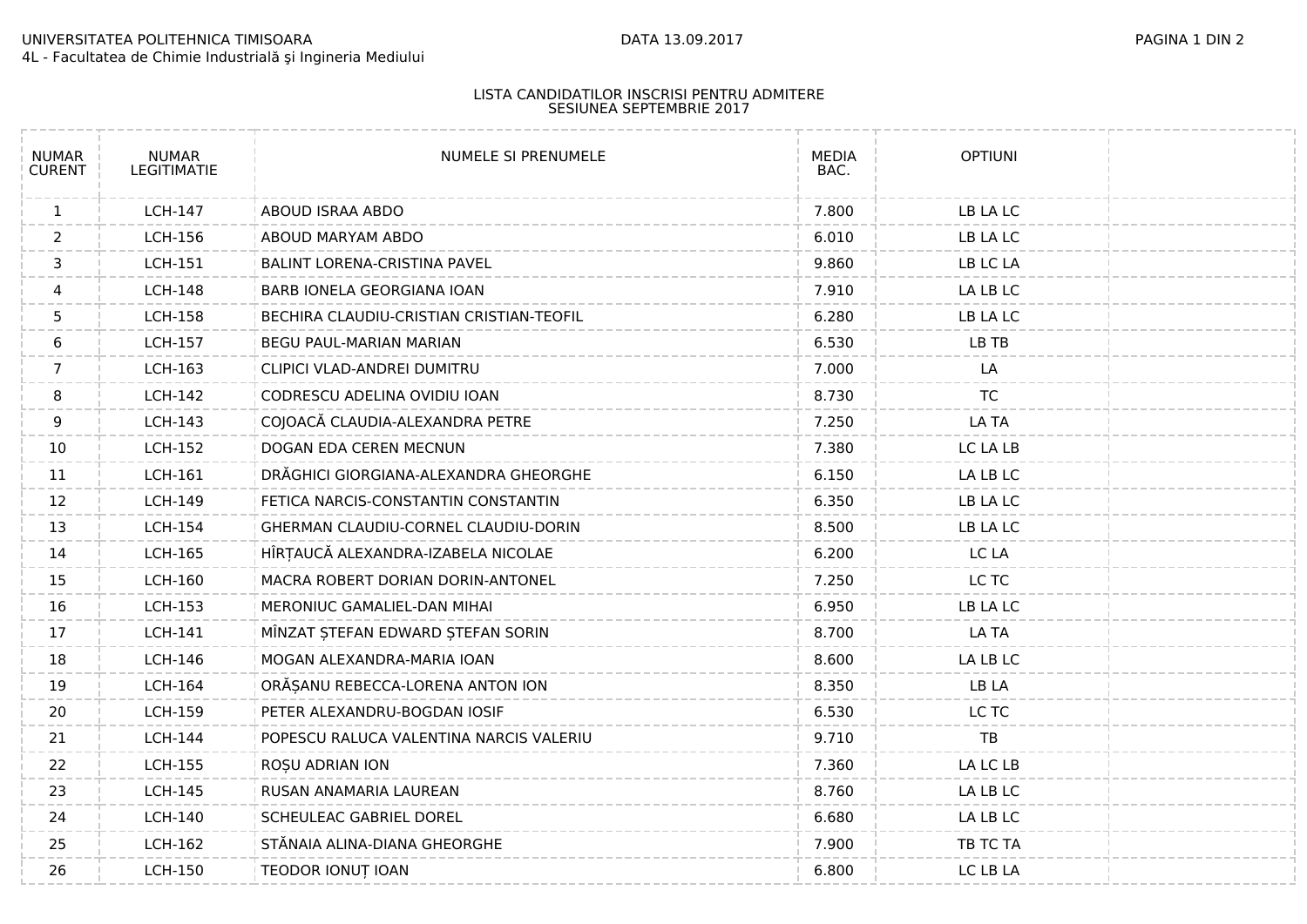## UNIVERSITATEA POLITEHNICA TIMISOARA DATA 13.09.2017 PAGINA 1 DIN 2 4L - Facultatea de Chimie Industrială şi Ingineria Mediului

## LISTA CANDIDATILOR INSCRISI PENTRU ADMITERE SESIUNEA SEPTEMBRIE 2017

| <b>NUMAR</b><br><b>CURENT</b> | <b>NUMAR</b><br><b>LEGITIMATIE</b> | NUMELE SI PRENUMELE                      | <b>MEDIA</b><br>BAC. | <b>OPTIUNI</b> |  |
|-------------------------------|------------------------------------|------------------------------------------|----------------------|----------------|--|
| $\mathbf{1}$                  | <b>LCH-147</b>                     | ABOUD ISRAA ABDO                         | 7.800                | LB LA LC       |  |
| $\overline{2}$                | <b>LCH-156</b>                     | ABOUD MARYAM ABDO                        | 6.010                | LB LA LC       |  |
| 3                             | <b>LCH-151</b>                     | BALINT LORENA-CRISTINA PAVEL             | 9.860                | LB LC LA       |  |
| 4                             | <b>LCH-148</b>                     | BARB IONELA GEORGIANA IOAN               | 7.910                | LA LB LC       |  |
| 5                             | <b>LCH-158</b>                     | BECHIRA CLAUDIU-CRISTIAN CRISTIAN-TEOFIL | 6.280                | LB LA LC       |  |
| 6                             | LCH-157                            | BEGU PAUL-MARIAN MARIAN                  | 6.530                | LB TB          |  |
| $7\overline{ }$               | <b>LCH-163</b>                     | CLIPICI VLAD-ANDREI DUMITRU              | 7.000                | LA             |  |
| 8                             | <b>LCH-142</b>                     | CODRESCU ADELINA OVIDIU IOAN             | 8.730                | <b>TC</b>      |  |
| 9                             | <b>LCH-143</b>                     | COJOACĂ CLAUDIA-ALEXANDRA PETRE          | 7.250                | LA TA          |  |
| 10                            | <b>LCH-152</b>                     | DOGAN EDA CEREN MECNUN                   | 7.380                | LC LA LB       |  |
| 11                            | LCH-161                            | DRĂGHICI GIORGIANA-ALEXANDRA GHEORGHE    | 6.150                | LA LB LC       |  |
| 12                            | <b>LCH-149</b>                     | FETICA NARCIS-CONSTANTIN CONSTANTIN      | 6.350                | LB LA LC       |  |
| 13                            | <b>LCH-154</b>                     | GHERMAN CLAUDIU-CORNEL CLAUDIU-DORIN     | 8.500                | LB LA LC       |  |
| 14                            | LCH-165                            | HÎRȚAUCĂ ALEXANDRA-IZABELA NICOLAE       | 6.200                | LC LA          |  |
| 15                            | <b>LCH-160</b>                     | MACRA ROBERT DORIAN DORIN-ANTONEL        | 7.250                | LC TC          |  |
| 16                            | LCH-153                            | MERONIUC GAMALIEL-DAN MIHAI              | 6.950                | LB LA LC       |  |
| 17                            | <b>LCH-141</b>                     | MÎNZAT ȘTEFAN EDWARD ȘTEFAN SORIN        | 8.700                | LA TA          |  |
| 18                            | <b>LCH-146</b>                     | MOGAN ALEXANDRA-MARIA IOAN               | 8.600                | LA LB LC       |  |
| 19                            | <b>LCH-164</b>                     | ORĂȘANU REBECCA-LORENA ANTON ION         | 8.350                | LB LA          |  |
| 20                            | <b>LCH-159</b>                     | PETER ALEXANDRU-BOGDAN IOSIF             | 6.530                | LC TC          |  |
| 21                            | <b>LCH-144</b>                     | POPESCU RALUCA VALENTINA NARCIS VALERIU  | 9.710                | TB             |  |
| 22                            | <b>LCH-155</b>                     | ROȘU ADRIAN ION                          | 7.360                | LA LC LB       |  |
| 23                            | <b>LCH-145</b>                     | RUSAN ANAMARIA LAUREAN                   | 8.760                | LA LB LC       |  |
| 24                            | <b>LCH-140</b>                     | SCHEULEAC GABRIEL DOREL                  | 6.680                | LA LB LC       |  |
| 25                            | LCH-162                            | STĂNAIA ALINA-DIANA GHEORGHE             | 7.900                | TB TC TA       |  |
| 26                            | <b>LCH-150</b>                     | TEODOR IONUT IOAN                        | 6.800                | LC LB LA       |  |